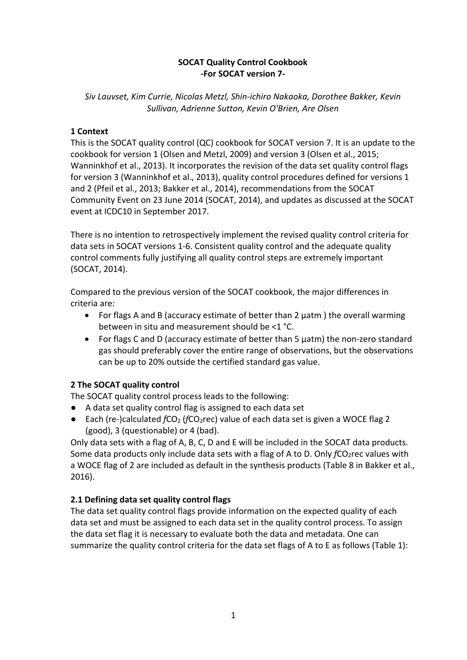### **SOCAT Quality Control Cookbook -For SOCAT version 7-**

*Siv Lauvset, Kim Currie, Nicolas Metzl, Shin-ichiro Nakaoka, Dorothee Bakker, Kevin Sullivan, Adrienne Sutton, Kevin O'Brien, Are Olsen*

### **1 Context**

This is the SOCAT quality control (QC) cookbook for SOCAT version 7. It is an update to the cookbook for version 1 (Olsen and Metzl, 2009) and version 3 (Olsen et al., 2015; Wanninkhof et al., 2013). It incorporates the revision of the data set quality control flags for version 3 (Wanninkhof et al., 2013), quality control procedures defined for versions 1 and 2 (Pfeil et al., 2013; Bakker et al., 2014), recommendations from the SOCAT Community Event on 23 June 2014 (SOCAT, 2014), and updates as discussed at the SOCAT event at ICDC10 in September 2017.

There is no intention to retrospectively implement the revised quality control criteria for data sets in SOCAT versions 1-6. Consistent quality control and the adequate quality control comments fully justifying all quality control steps are extremely important (SOCAT, 2014).

Compared to the previous version of the SOCAT cookbook, the major differences in criteria are:

- For flags A and B (accuracy estimate of better than 2 µatm ) the overall warming between in situ and measurement should be <1 °C.
- For flags C and D (accuracy estimate of better than 5 µatm) the non-zero standard gas should preferably cover the entire range of observations, but the observations can be up to 20% outside the certified standard gas value.

### **2 The SOCAT quality control**

The SOCAT quality control process leads to the following:

- **●** A data set quality control flag is assigned to each data set
- $\bullet$  Each (re-)calculated  $fCO<sub>2</sub>$  ( $fCO<sub>2</sub>rec$ ) value of each data set is given a WOCE flag 2 (good), 3 (questionable) or 4 (bad).

Only data sets with a flag of A, B, C, D and E will be included in the SOCAT data products. Some data products only include data sets with a flag of A to D. Only *fCO*<sub>2</sub>rec values with a WOCE flag of 2 are included as default in the synthesis products (Table 8 in Bakker et al., 2016).

# **2.1 Defining data set quality control flags**

The data set quality control flags provide information on the expected quality of each data set and must be assigned to each data set in the quality control process. To assign the data set flag it is necessary to evaluate both the data and metadata. One can summarize the quality control criteria for the data set flags of A to E as follows (Table 1):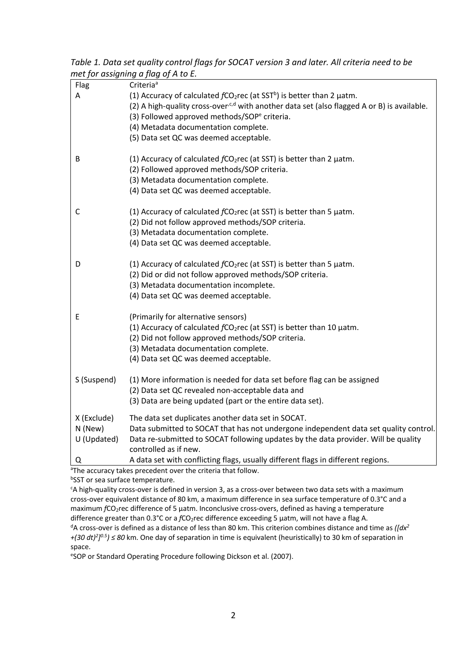*Table 1. Data set quality control flags for SOCAT version 3 and later. All criteria need to be met for assigning a flag of A to E.*

| Flag                                                                     | Criteria <sup>a</sup>                                                                                   |  |  |  |  |  |
|--------------------------------------------------------------------------|---------------------------------------------------------------------------------------------------------|--|--|--|--|--|
| Α                                                                        | (1) Accuracy of calculated $fCO2rec$ (at SST <sup>b</sup> ) is better than 2 $\mu$ atm.                 |  |  |  |  |  |
|                                                                          | (2) A high-quality cross-over <sup>,c,d</sup> with another data set (also flagged A or B) is available. |  |  |  |  |  |
|                                                                          | (3) Followed approved methods/SOP <sup>e</sup> criteria.                                                |  |  |  |  |  |
|                                                                          | (4) Metadata documentation complete.                                                                    |  |  |  |  |  |
|                                                                          | (5) Data set QC was deemed acceptable.                                                                  |  |  |  |  |  |
|                                                                          |                                                                                                         |  |  |  |  |  |
| B                                                                        | (1) Accuracy of calculated $fCO2rec$ (at SST) is better than 2 $\mu$ atm.                               |  |  |  |  |  |
|                                                                          | (2) Followed approved methods/SOP criteria.                                                             |  |  |  |  |  |
|                                                                          | (3) Metadata documentation complete.                                                                    |  |  |  |  |  |
|                                                                          | (4) Data set QC was deemed acceptable.                                                                  |  |  |  |  |  |
|                                                                          |                                                                                                         |  |  |  |  |  |
| C                                                                        | (1) Accuracy of calculated $fCO2rec$ (at SST) is better than 5 $\mu$ atm.                               |  |  |  |  |  |
|                                                                          | (2) Did not follow approved methods/SOP criteria.                                                       |  |  |  |  |  |
|                                                                          | (3) Metadata documentation complete.                                                                    |  |  |  |  |  |
|                                                                          | (4) Data set QC was deemed acceptable.                                                                  |  |  |  |  |  |
|                                                                          |                                                                                                         |  |  |  |  |  |
| D                                                                        | (1) Accuracy of calculated $fCO2rec$ (at SST) is better than 5 $\mu$ atm.                               |  |  |  |  |  |
|                                                                          | (2) Did or did not follow approved methods/SOP criteria.                                                |  |  |  |  |  |
|                                                                          | (3) Metadata documentation incomplete.                                                                  |  |  |  |  |  |
|                                                                          | (4) Data set QC was deemed acceptable.                                                                  |  |  |  |  |  |
|                                                                          |                                                                                                         |  |  |  |  |  |
| E                                                                        | (Primarily for alternative sensors)                                                                     |  |  |  |  |  |
|                                                                          | (1) Accuracy of calculated fCO <sub>2</sub> rec (at SST) is better than 10 µatm.                        |  |  |  |  |  |
|                                                                          | (2) Did not follow approved methods/SOP criteria.                                                       |  |  |  |  |  |
|                                                                          | (3) Metadata documentation complete.                                                                    |  |  |  |  |  |
|                                                                          | (4) Data set QC was deemed acceptable.                                                                  |  |  |  |  |  |
|                                                                          |                                                                                                         |  |  |  |  |  |
| S (Suspend)                                                              | (1) More information is needed for data set before flag can be assigned                                 |  |  |  |  |  |
|                                                                          | (2) Data set QC revealed non-acceptable data and                                                        |  |  |  |  |  |
|                                                                          | (3) Data are being updated (part or the entire data set).                                               |  |  |  |  |  |
|                                                                          |                                                                                                         |  |  |  |  |  |
| X (Exclude)                                                              | The data set duplicates another data set in SOCAT.                                                      |  |  |  |  |  |
| N (New)                                                                  | Data submitted to SOCAT that has not undergone independent data set quality control.                    |  |  |  |  |  |
| U (Updated)                                                              | Data re-submitted to SOCAT following updates by the data provider. Will be quality                      |  |  |  |  |  |
|                                                                          | controlled as if new.                                                                                   |  |  |  |  |  |
| Q                                                                        | A data set with conflicting flags, usually different flags in different regions.                        |  |  |  |  |  |
| <sup>a</sup> The accuracy takes precedent over the criteria that follow. |                                                                                                         |  |  |  |  |  |

**bSST** or sea surface temperature.

c A high-quality cross-over is defined in version 3, as a cross-over between two data sets with a maximum cross-over equivalent distance of 80 km, a maximum difference in sea surface temperature of 0.3°C and a maximum *f*CO<sub>2</sub>rec difference of 5 μatm. Inconclusive cross-overs, defined as having a temperature difference greater than 0.3°C or a *f*CO<sub>2</sub>rec difference exceeding 5 μatm, will not have a flag A. <sup>d</sup>A cross-over is defined as a distance of less than 80 km. This criterion combines distance and time as *([dx<sup>2</sup> +*(30 dt)<sup>2</sup>]<sup>0.5</sup>) ≤ 80 km. One day of separation in time is equivalent (heuristically) to 30 km of separation in space.

e SOP or Standard Operating Procedure following Dickson et al. (2007).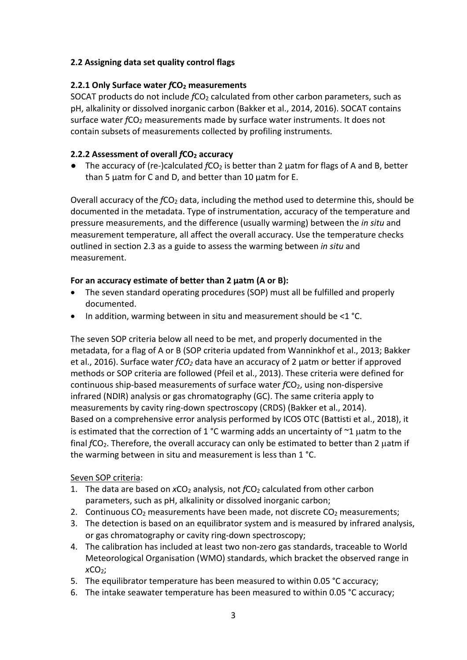### **2.2 Assigning data set quality control flags**

### **2.2.1 Only Surface water** *f***CO2 measurements**

SOCAT products do not include  $fCO<sub>2</sub>$  calculated from other carbon parameters, such as pH, alkalinity or dissolved inorganic carbon (Bakker et al., 2014, 2016). SOCAT contains surface water *fCO*<sub>2</sub> measurements made by surface water instruments. It does not contain subsets of measurements collected by profiling instruments.

### **2.2.2 Assessment of overall** *f***CO2 accuracy**

■ The accuracy of (re-)calculated  $fCO<sub>2</sub>$  is better than 2 µatm for flags of A and B, better than 5 µatm for C and D, and better than 10 µatm for E.

Overall accuracy of the *f*CO<sub>2</sub> data, including the method used to determine this, should be documented in the metadata. Type of instrumentation, accuracy of the temperature and pressure measurements, and the difference (usually warming) between the *in situ* and measurement temperature, all affect the overall accuracy. Use the temperature checks outlined in section 2.3 as a guide to assess the warming between *in situ* and measurement.

### **For an accuracy estimate of better than 2 µatm (A or B):**

- The seven standard operating procedures (SOP) must all be fulfilled and properly documented.
- In addition, warming between in situ and measurement should be <1 °C.

The seven SOP criteria below all need to be met, and properly documented in the metadata, for a flag of A or B (SOP criteria updated from Wanninkhof et al., 2013; Bakker et al., 2016). Surface water *fCO2* data have an accuracy of 2 μatm or better if approved methods or SOP criteria are followed (Pfeil et al., 2013). These criteria were defined for continuous ship-based measurements of surface water *fCO*<sub>2</sub>, using non-dispersive infrared (NDIR) analysis or gas chromatography (GC). The same criteria apply to measurements by cavity ring-down spectroscopy (CRDS) (Bakker et al., 2014). Based on a comprehensive error analysis performed by ICOS OTC (Battisti et al., 2018), it is estimated that the correction of 1 °C warming adds an uncertainty of  $\sim$ 1  $\mu$ atm to the final *fCO*<sub>2</sub>. Therefore, the overall accuracy can only be estimated to better than 2 uatm if the warming between in situ and measurement is less than 1 °C.

# Seven SOP criteria:

- 1. The data are based on xCO<sub>2</sub> analysis, not  $fCO<sub>2</sub>$  calculated from other carbon parameters, such as pH, alkalinity or dissolved inorganic carbon;
- 2. Continuous  $CO<sub>2</sub>$  measurements have been made, not discrete  $CO<sub>2</sub>$  measurements;
- 3. The detection is based on an equilibrator system and is measured by infrared analysis, or gas chromatography or cavity ring-down spectroscopy;
- 4. The calibration has included at least two non-zero gas standards, traceable to World Meteorological Organisation (WMO) standards, which bracket the observed range in *x*CO2;
- 5. The equilibrator temperature has been measured to within 0.05 °C accuracy;
- 6. The intake seawater temperature has been measured to within 0.05 °C accuracy;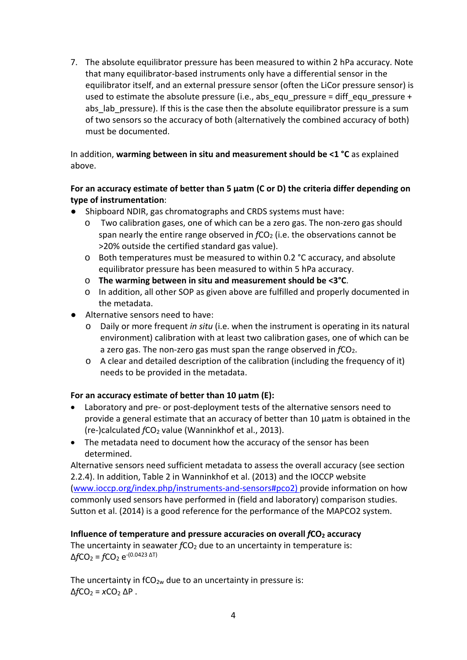7. The absolute equilibrator pressure has been measured to within 2 hPa accuracy. Note that many equilibrator-based instruments only have a differential sensor in the equilibrator itself, and an external pressure sensor (often the LiCor pressure sensor) is used to estimate the absolute pressure (i.e., abs equ pressure = diff equ pressure + abs lab pressure). If this is the case then the absolute equilibrator pressure is a sum of two sensors so the accuracy of both (alternatively the combined accuracy of both) must be documented.

In addition, **warming between in situ and measurement should be <1 °C** as explained above.

### **For an accuracy estimate of better than 5 µatm (C or D) the criteria differ depending on type of instrumentation**:

- Shipboard NDIR, gas chromatographs and CRDS systems must have:
	- o Two calibration gases, one of which can be a zero gas. The non-zero gas should span nearly the entire range observed in  $fCO<sub>2</sub>$  (i.e. the observations cannot be >20% outside the certified standard gas value).
	- o Both temperatures must be measured to within 0.2 °C accuracy, and absolute equilibrator pressure has been measured to within 5 hPa accuracy.
	- o **The warming between in situ and measurement should be <3°C**.
	- o In addition, all other SOP as given above are fulfilled and properly documented in the metadata.
- Alternative sensors need to have:
	- o Daily or more frequent *in situ* (i.e. when the instrument is operating in its natural environment) calibration with at least two calibration gases, one of which can be a zero gas. The non-zero gas must span the range observed in *fCO*<sub>2</sub>.
	- o A clear and detailed description of the calibration (including the frequency of it) needs to be provided in the metadata.

### **For an accuracy estimate of better than 10 µatm (E):**

- Laboratory and pre- or post-deployment tests of the alternative sensors need to provide a general estimate that an accuracy of better than 10 µatm is obtained in the (re-)calculated *f*CO2 value (Wanninkhof et al., 2013).
- The metadata need to document how the accuracy of the sensor has been determined.

Alternative sensors need sufficient metadata to assess the overall accuracy (see section 2.2.4). In addition, Table 2 in Wanninkhof et al. (2013) and the IOCCP website [\(www.ioccp.org/index.php/instruments-and-sensors#pco2\)](http://www.ioccp.org/index.php/instruments-and-sensors#pco2) provide information on how commonly used sensors have performed in (field and laboratory) comparison studies. Sutton et al. (2014) is a good reference for the performance of the MAPCO2 system.

#### **Influence of temperature and pressure accuracies on overall**  $fCO<sub>2</sub>$  **accuracy**

The uncertainty in seawater *fCO*<sub>2</sub> due to an uncertainty in temperature is: Δ*f*CO2 = *f*CO2 e-(0.0423 ΔT)

The uncertainty in  $fCO_{2w}$  due to an uncertainty in pressure is: Δ*f*CO2 = *x*CO2 ΔP .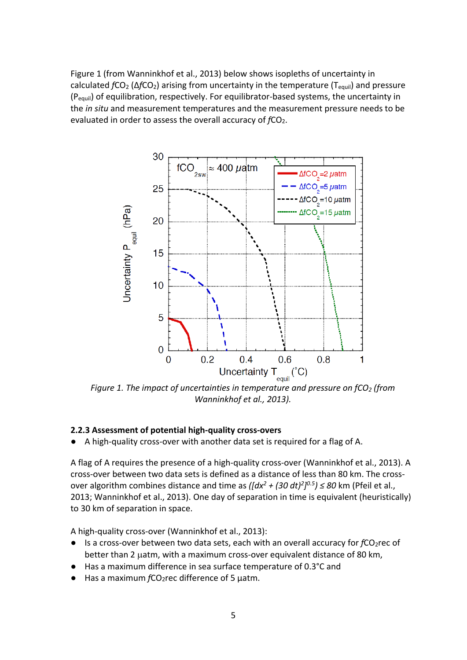Figure 1 (from Wanninkhof et al., 2013) below shows isopleths of uncertainty in calculated *f*CO2 (Δ*f*CO2) arising from uncertainty in the temperature (Tequil) and pressure (Pequil) of equilibration, respectively. For equilibrator-based systems, the uncertainty in the *in situ* and measurement temperatures and the measurement pressure needs to be evaluated in order to assess the overall accuracy of *fCO*<sub>2</sub>.



*Figure 1. The impact of uncertainties in temperature and pressure on fCO2 (from Wanninkhof et al., 2013).*

#### **2.2.3 Assessment of potential high-quality cross-overs**

A high-quality cross-over with another data set is required for a flag of A.

A flag of A requires the presence of a high-quality cross-over (Wanninkhof et al., 2013). A cross-over between two data sets is defined as a distance of less than 80 km. The crossover algorithm combines distance and time as *([dx2 + (30 dt) 2] 0.5) ≤ 80* km (Pfeil et al., 2013; Wanninkhof et al., 2013). One day of separation in time is equivalent (heuristically) to 30 km of separation in space.

A high-quality cross-over (Wanninkhof et al., 2013):

- Is a cross-over between two data sets, each with an overall accuracy for *fCO*<sub>2</sub>rec of better than 2 uatm, with a maximum cross-over equivalent distance of 80 km.
- Has a maximum difference in sea surface temperature of 0.3°C and
- Has a maximum *f*CO<sub>2</sub>rec difference of 5 μatm.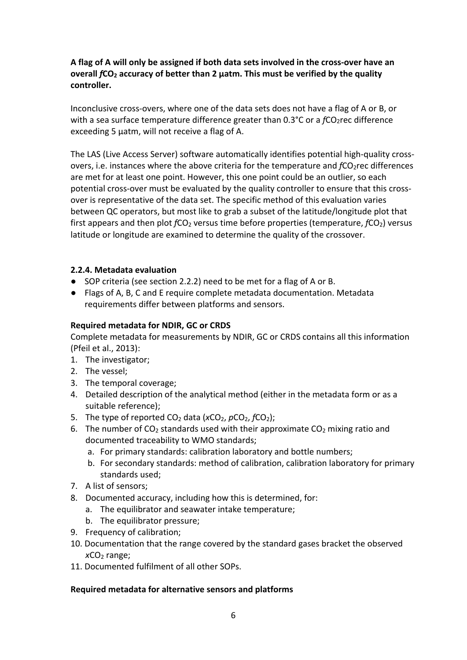### **A flag of A will only be assigned if both data sets involved in the cross-over have an overall** *f***CO2 accuracy of better than 2 μatm. This must be verified by the quality controller.**

Inconclusive cross-overs, where one of the data sets does not have a flag of A or B, or with a sea surface temperature difference greater than 0.3°C or a  $fCO_2$ rec difference exceeding 5 μatm, will not receive a flag of A.

The LAS (Live Access Server) software automatically identifies potential high-quality crossovers, i.e. instances where the above criteria for the temperature and *fCO*2rec differences are met for at least one point. However, this one point could be an outlier, so each potential cross-over must be evaluated by the quality controller to ensure that this crossover is representative of the data set. The specific method of this evaluation varies between QC operators, but most like to grab a subset of the latitude/longitude plot that first appears and then plot *fCO*<sub>2</sub> versus time before properties (temperature, *fCO*<sub>2</sub>) versus latitude or longitude are examined to determine the quality of the crossover.

### **2.2.4. Metadata evaluation**

- SOP criteria (see section 2.2.2) need to be met for a flag of A or B.
- Flags of A, B, C and E require complete metadata documentation. Metadata requirements differ between platforms and sensors.

## **Required metadata for NDIR, GC or CRDS**

Complete metadata for measurements by NDIR, GC or CRDS contains all this information (Pfeil et al., 2013):

- 1. The investigator;
- 2. The vessel;
- 3. The temporal coverage;
- 4. Detailed description of the analytical method (either in the metadata form or as a suitable reference);
- 5. The type of reported CO<sub>2</sub> data (xCO<sub>2</sub>, pCO<sub>2</sub>, *f*CO<sub>2</sub>);
- 6. The number of CO<sub>2</sub> standards used with their approximate CO<sub>2</sub> mixing ratio and documented traceability to WMO standards;
	- a. For primary standards: calibration laboratory and bottle numbers;
	- b. For secondary standards: method of calibration, calibration laboratory for primary standards used;
- 7. A list of sensors;
- 8. Documented accuracy, including how this is determined, for:
	- a. The equilibrator and seawater intake temperature;
	- b. The equilibrator pressure;
- 9. Frequency of calibration;
- 10. Documentation that the range covered by the standard gases bracket the observed *x*CO<sub>2</sub> range:
- 11. Documented fulfilment of all other SOPs.

### **Required metadata for alternative sensors and platforms**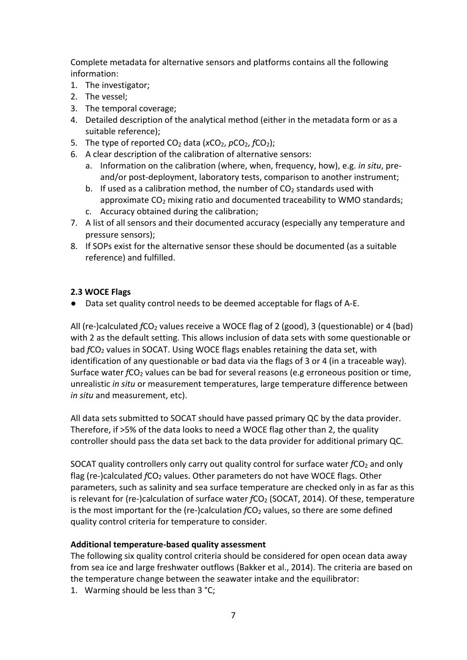Complete metadata for alternative sensors and platforms contains all the following information:

- 1. The investigator;
- 2. The vessel;
- 3. The temporal coverage;
- 4. Detailed description of the analytical method (either in the metadata form or as a suitable reference);
- 5. The type of reported CO<sub>2</sub> data (*x*CO<sub>2</sub>, *pCO*<sub>2</sub>, *fCO*<sub>2</sub>);
- 6. A clear description of the calibration of alternative sensors:
	- a. Information on the calibration (where, when, frequency, how), e.g. *in situ*, preand/or post-deployment, laboratory tests, comparison to another instrument;
	- b. If used as a calibration method, the number of  $CO<sub>2</sub>$  standards used with approximate  $CO<sub>2</sub>$  mixing ratio and documented traceability to WMO standards;
	- c. Accuracy obtained during the calibration;
- 7. A list of all sensors and their documented accuracy (especially any temperature and pressure sensors);
- 8. If SOPs exist for the alternative sensor these should be documented (as a suitable reference) and fulfilled.

### **2.3 WOCE Flags**

● Data set quality control needs to be deemed acceptable for flags of A-E.

All (re-)calculated  $fCO<sub>2</sub>$  values receive a WOCE flag of 2 (good), 3 (questionable) or 4 (bad) with 2 as the default setting. This allows inclusion of data sets with some questionable or bad *f*CO<sub>2</sub> values in SOCAT. Using WOCE flags enables retaining the data set, with identification of any questionable or bad data via the flags of 3 or 4 (in a traceable way). Surface water *fCO*<sub>2</sub> values can be bad for several reasons (e.g erroneous position or time, unrealistic *in situ* or measurement temperatures, large temperature difference between *in situ* and measurement, etc).

All data sets submitted to SOCAT should have passed primary QC by the data provider. Therefore, if >5% of the data looks to need a WOCE flag other than 2, the quality controller should pass the data set back to the data provider for additional primary QC.

SOCAT quality controllers only carry out quality control for surface water  $fCO<sub>2</sub>$  and only flag (re-)calculated *fCO<sub>2</sub>* values. Other parameters do not have WOCE flags. Other parameters, such as salinity and sea surface temperature are checked only in as far as this is relevant for (re-)calculation of surface water *f*CO<sub>2</sub> (SOCAT, 2014). Of these, temperature is the most important for the (re-)calculation *f*CO<sub>2</sub> values, so there are some defined quality control criteria for temperature to consider.

### **Additional temperature-based quality assessment**

The following six quality control criteria should be considered for open ocean data away from sea ice and large freshwater outflows (Bakker et al., 2014). The criteria are based on the temperature change between the seawater intake and the equilibrator:

1. Warming should be less than 3 °C;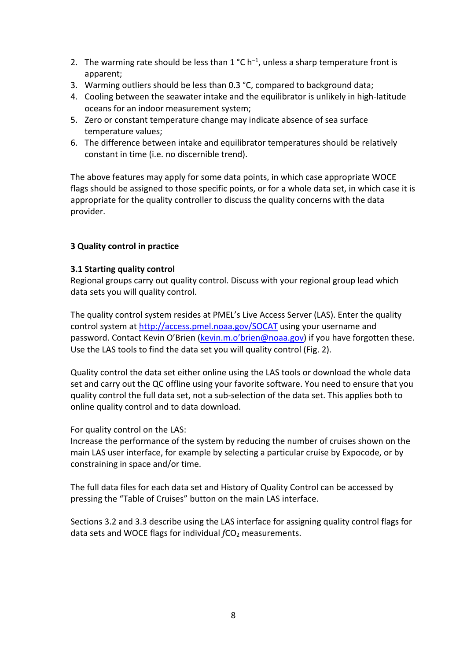- 2. The warming rate should be less than  $1 °C h^{-1}$ , unless a sharp temperature front is apparent;
- 3. Warming outliers should be less than 0.3 °C, compared to background data;
- 4. Cooling between the seawater intake and the equilibrator is unlikely in high-latitude oceans for an indoor measurement system;
- 5. Zero or constant temperature change may indicate absence of sea surface temperature values;
- 6. The difference between intake and equilibrator temperatures should be relatively constant in time (i.e. no discernible trend).

The above features may apply for some data points, in which case appropriate WOCE flags should be assigned to those specific points, or for a whole data set, in which case it is appropriate for the quality controller to discuss the quality concerns with the data provider.

### **3 Quality control in practice**

### **3.1 Starting quality control**

Regional groups carry out quality control. Discuss with your regional group lead which data sets you will quality control.

The quality control system resides at PMEL's Live Access Server (LAS). Enter the quality control system at<http://access.pmel.noaa.gov/SOCAT> using your username and password. Contact Kevin O'Brien [\(kevin.m.o'brien@noaa.gov\)](mailto:karl.smith@noaa.gov) if you have forgotten these. Use the LAS tools to find the data set you will quality control (Fig. 2).

Quality control the data set either online using the LAS tools or download the whole data set and carry out the QC offline using your favorite software. You need to ensure that you quality control the full data set, not a sub-selection of the data set. This applies both to online quality control and to data download.

For quality control on the LAS:

Increase the performance of the system by reducing the number of cruises shown on the main LAS user interface, for example by selecting a particular cruise by Expocode, or by constraining in space and/or time.

The full data files for each data set and History of Quality Control can be accessed by pressing the "Table of Cruises" button on the main LAS interface.

Sections 3.2 and 3.3 describe using the LAS interface for assigning quality control flags for data sets and WOCE flags for individual *fCO*<sub>2</sub> measurements.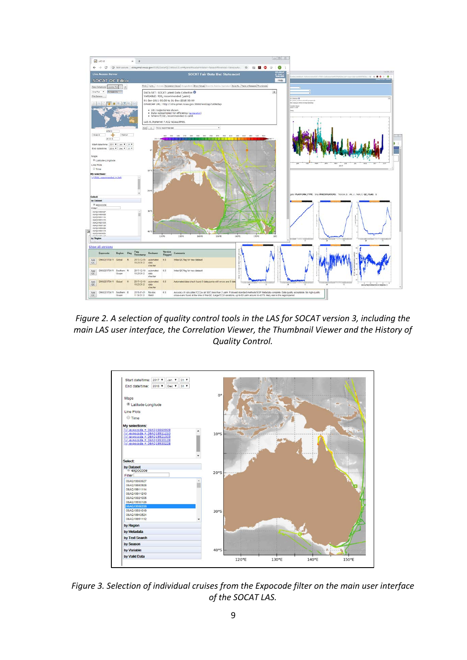

*Figure 2. A selection of quality control tools in the LAS for SOCAT version 3, including the main LAS user interface, the Correlation Viewer, the Thumbnail Viewer and the History of Quality Control.*



*Figure 3. Selection of individual cruises from the Expocode filter on the main user interface of the SOCAT LAS.*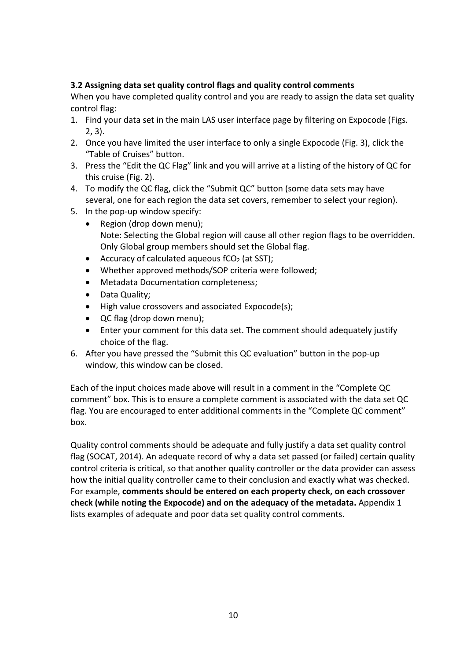## **3.2 Assigning data set quality control flags and quality control comments**

When you have completed quality control and you are ready to assign the data set quality control flag:

- 1. Find your data set in the main LAS user interface page by filtering on Expocode (Figs. 2, 3).
- 2. Once you have limited the user interface to only a single Expocode (Fig. 3), click the "Table of Cruises" button.
- 3. Press the "Edit the QC Flag" link and you will arrive at a listing of the history of QC for this cruise (Fig. 2).
- 4. To modify the QC flag, click the "Submit QC" button (some data sets may have several, one for each region the data set covers, remember to select your region).
- 5. In the pop-up window specify:
	- Region (drop down menu); Note: Selecting the Global region will cause all other region flags to be overridden. Only Global group members should set the Global flag.
	- Accuracy of calculated aqueous  $fCO<sub>2</sub>$  (at SST);
	- Whether approved methods/SOP criteria were followed;
	- Metadata Documentation completeness;
	- Data Quality;
	- High value crossovers and associated Expocode(s);
	- QC flag (drop down menu);
	- Enter your comment for this data set. The comment should adequately justify choice of the flag.
- 6. After you have pressed the "Submit this QC evaluation" button in the pop-up window, this window can be closed.

Each of the input choices made above will result in a comment in the "Complete QC comment" box. This is to ensure a complete comment is associated with the data set QC flag. You are encouraged to enter additional comments in the "Complete QC comment" box.

Quality control comments should be adequate and fully justify a data set quality control flag (SOCAT, 2014). An adequate record of why a data set passed (or failed) certain quality control criteria is critical, so that another quality controller or the data provider can assess how the initial quality controller came to their conclusion and exactly what was checked. For example, **comments should be entered on each property check, on each crossover check (while noting the Expocode) and on the adequacy of the metadata.** Appendix 1 lists examples of adequate and poor data set quality control comments.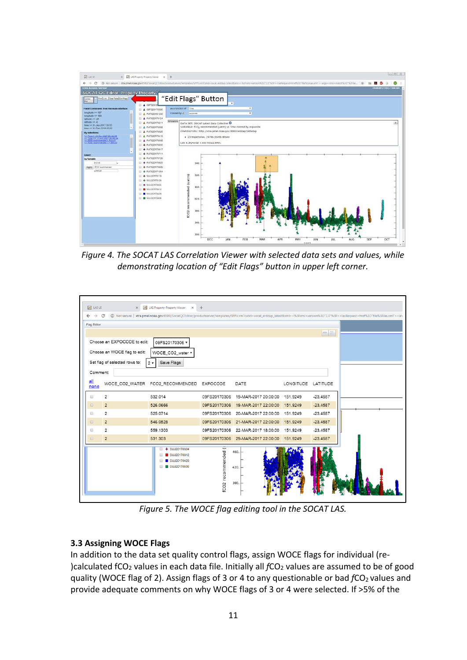

*Figure 4. The SOCAT LAS Correlation Viewer with selected data sets and values, while demonstrating location of "Edit Flags" button in upper left corner.*

| <b>AC</b> LAS UT                                                 | $\times$                                       | AZ LAS Property-Property Viewer X                                          | $+$                                         |                      |                    |            |                                                                                                                                                                                                                                               |  |  |
|------------------------------------------------------------------|------------------------------------------------|----------------------------------------------------------------------------|---------------------------------------------|----------------------|--------------------|------------|-----------------------------------------------------------------------------------------------------------------------------------------------------------------------------------------------------------------------------------------------|--|--|
| $\leftarrow$ $\rightarrow$                                       | C                                              |                                                                            |                                             |                      |                    |            | 1es Not secure   xtra.pmel.noaa.gov:8580/SocatQCEditor/productserver/templates/SPPV.vm?catid=socat_erddap_latest&xml=<%3Fxml+version%3D"1.0"%3F> <lasrequest+href%3d"file%3alas.xml"><arr< td=""></arr<></lasrequest+href%3d"file%3alas.xml"> |  |  |
| Flag Editor                                                      |                                                |                                                                            |                                             |                      |                    |            |                                                                                                                                                                                                                                               |  |  |
|                                                                  |                                                |                                                                            |                                             |                      |                    | $-8$       |                                                                                                                                                                                                                                               |  |  |
|                                                                  |                                                |                                                                            |                                             |                      |                    |            |                                                                                                                                                                                                                                               |  |  |
|                                                                  | Choose an EXPOCODE to edit:<br>09FS20170306 v  |                                                                            |                                             |                      |                    |            |                                                                                                                                                                                                                                               |  |  |
|                                                                  | Choose an WOCE flag to edit:<br>WOCE_CO2_water |                                                                            |                                             |                      |                    |            |                                                                                                                                                                                                                                               |  |  |
|                                                                  | Set flag of selected rows to:                  | Save Flags<br>$2 -$                                                        |                                             |                      |                    |            |                                                                                                                                                                                                                                               |  |  |
| Comment:                                                         |                                                |                                                                            |                                             |                      |                    |            |                                                                                                                                                                                                                                               |  |  |
|                                                                  |                                                |                                                                            |                                             |                      |                    |            |                                                                                                                                                                                                                                               |  |  |
| all<br>none                                                      |                                                | WOCE_CO2_WATER FCO2_RECOMMENDED EXPOCODE                                   |                                             | DATE                 | LONGITUDE LATITUDE |            |                                                                                                                                                                                                                                               |  |  |
|                                                                  | 2                                              | 532.014                                                                    | 09FS20170306                                | 19-MAR-2017 20:00:00 | 151.9249           | $-23.4587$ |                                                                                                                                                                                                                                               |  |  |
| $\qquad \qquad \Box$                                             | $\overline{2}$                                 | 526.0666                                                                   | 09FS20170306                                | 19-MAR-2017 22:00:00 | 151.9249           | $-23.4587$ |                                                                                                                                                                                                                                               |  |  |
| $\qquad \qquad \Box$                                             | 2                                              | 525.0714                                                                   | 09FS20170306                                | 20-MAR-2017 22:00:00 | 151,9249           | $-23.4587$ |                                                                                                                                                                                                                                               |  |  |
| $\qquad \qquad \qquad \qquad \qquad \qquad \qquad \qquad \qquad$ | $\overline{2}$                                 | 546.0528                                                                   | 09FS20170306                                | 21-MAR-2017 22:00:00 | 151,9249           | $-23.4587$ |                                                                                                                                                                                                                                               |  |  |
| $\qquad \qquad \Box$                                             | $\overline{\mathbf{c}}$                        | 559.1303                                                                   | 09FS20170306                                | 22-MAR-2017 18:00:00 | 151,9249           | $-23.4587$ |                                                                                                                                                                                                                                               |  |  |
| $\qquad \qquad \Box$                                             | $\overline{2}$                                 | 531.303                                                                    | 09FS20170306                                | 29-MAR-2017 22:00:00 | 151.9249           | $-23.4587$ |                                                                                                                                                                                                                                               |  |  |
|                                                                  |                                                | SIJJ20170304<br>۰<br>SIJJ20170312<br>SIJJ20170429<br><b>B</b> SIJJ20170505 | $\overline{\phantom{0}}$<br>CO2 recommended | 460.<br>420.<br>380. |                    |            |                                                                                                                                                                                                                                               |  |  |

*Figure 5. The WOCE flag editing tool in the SOCAT LAS.*

### **3.3 Assigning WOCE Flags**

In addition to the data set quality control flags, assign WOCE flags for individual (re- )calculated fCO<sub>2</sub> values in each data file. Initially all *fCO*<sub>2</sub> values are assumed to be of good quality (WOCE flag of 2). Assign flags of 3 or 4 to any questionable or bad  $fCO<sub>2</sub>$  values and provide adequate comments on why WOCE flags of 3 or 4 were selected. If >5% of the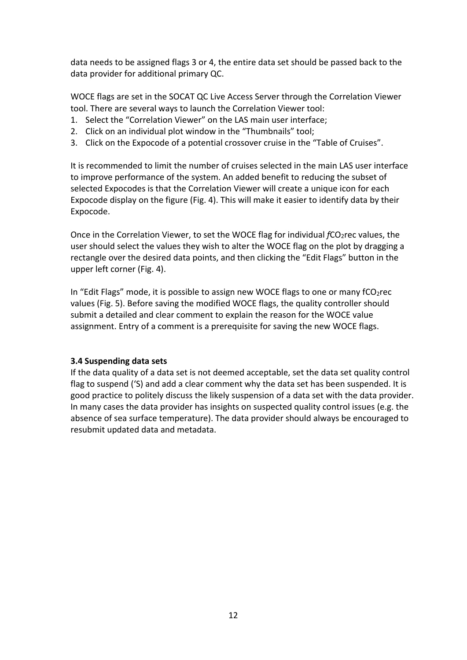data needs to be assigned flags 3 or 4, the entire data set should be passed back to the data provider for additional primary QC.

WOCE flags are set in the SOCAT QC Live Access Server through the Correlation Viewer tool. There are several ways to launch the Correlation Viewer tool:

- 1. Select the "Correlation Viewer" on the LAS main user interface;
- 2. Click on an individual plot window in the "Thumbnails" tool;
- 3. Click on the Expocode of a potential crossover cruise in the "Table of Cruises".

It is recommended to limit the number of cruises selected in the main LAS user interface to improve performance of the system. An added benefit to reducing the subset of selected Expocodes is that the Correlation Viewer will create a unique icon for each Expocode display on the figure (Fig. 4). This will make it easier to identify data by their Expocode.

Once in the Correlation Viewer, to set the WOCE flag for individual *fCO*<sub>2</sub>rec values, the user should select the values they wish to alter the WOCE flag on the plot by dragging a rectangle over the desired data points, and then clicking the "Edit Flags" button in the upper left corner (Fig. 4).

In "Edit Flags" mode, it is possible to assign new WOCE flags to one or many  $fCO<sub>2</sub>rec$ values (Fig. 5). Before saving the modified WOCE flags, the quality controller should submit a detailed and clear comment to explain the reason for the WOCE value assignment. Entry of a comment is a prerequisite for saving the new WOCE flags.

### **3.4 Suspending data sets**

If the data quality of a data set is not deemed acceptable, set the data set quality control flag to suspend ('S) and add a clear comment why the data set has been suspended. It is good practice to politely discuss the likely suspension of a data set with the data provider. In many cases the data provider has insights on suspected quality control issues (e.g. the absence of sea surface temperature). The data provider should always be encouraged to resubmit updated data and metadata.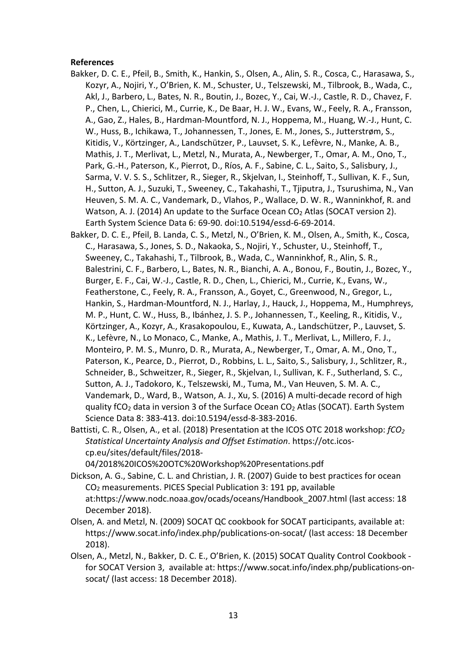#### **References**

- Bakker, D. C. E., Pfeil, B., Smith, K., Hankin, S., Olsen, A., Alin, S. R., Cosca, C., Harasawa, S., Kozyr, A., Nojiri, Y., O'Brien, K. M., Schuster, U., Telszewski, M., Tilbrook, B., Wada, C., Akl, J., Barbero, L., Bates, N. R., Boutin, J., Bozec, Y., Cai, W.-J., Castle, R. D., Chavez, F. P., Chen, L., Chierici, M., Currie, K., De Baar, H. J. W., Evans, W., Feely, R. A., Fransson, A., Gao, Z., Hales, B., Hardman-Mountford, N. J., Hoppema, M., Huang, W.-J., Hunt, C. W., Huss, B., Ichikawa, T., Johannessen, T., Jones, E. M., Jones, S., Jutterstrøm, S., Kitidis, V., Körtzinger, A., Landschützer, P., Lauvset, S. K., Lefèvre, N., Manke, A. B., Mathis, J. T., Merlivat, L., Metzl, N., Murata, A., Newberger, T., Omar, A. M., Ono, T., Park, G.-H., Paterson, K., Pierrot, D., Ríos, A. F., Sabine, C. L., Saito, S., Salisbury, J., Sarma, V. V. S. S., Schlitzer, R., Sieger, R., Skjelvan, I., Steinhoff, T., Sullivan, K. F., Sun, H., Sutton, A. J., Suzuki, T., Sweeney, C., Takahashi, T., Tjiputra, J., Tsurushima, N., Van Heuven, S. M. A. C., Vandemark, D., Vlahos, P., Wallace, D. W. R., Wanninkhof, R. and Watson, A. J. (2014) An update to the Surface Ocean CO<sub>2</sub> Atlas (SOCAT version 2). Earth System Science Data 6: 69-90. doi:10.5194/essd-6-69-2014.
- Bakker, D. C. E., Pfeil, B. Landa, C. S., Metzl, N., O'Brien, K. M., Olsen, A., Smith, K., Cosca, C., Harasawa, S., Jones, S. D., Nakaoka, S., Nojiri, Y., Schuster, U., Steinhoff, T., Sweeney, C., Takahashi, T., Tilbrook, B., Wada, C., Wanninkhof, R., Alin, S. R., Balestrini, C. F., Barbero, L., Bates, N. R., Bianchi, A. A., Bonou, F., Boutin, J., Bozec, Y., Burger, E. F., Cai, W.-J., Castle, R. D., Chen, L., Chierici, M., Currie, K., Evans, W., Featherstone, C., Feely, R. A., Fransson, A., Goyet, C., Greenwood, N., Gregor, L., Hankin, S., Hardman-Mountford, N. J., Harlay, J., Hauck, J., Hoppema, M., Humphreys, M. P., Hunt, C. W., Huss, B., Ibánhez, J. S. P., Johannessen, T., Keeling, R., Kitidis, V., Körtzinger, A., Kozyr, A., Krasakopoulou, E., Kuwata, A., Landschützer, P., Lauvset, S. K., Lefèvre, N., Lo Monaco, C., Manke, A., Mathis, J. T., Merlivat, L., Millero, F. J., Monteiro, P. M. S., Munro, D. R., Murata, A., Newberger, T., Omar, A. M., Ono, T., Paterson, K., Pearce, D., Pierrot, D., Robbins, L. L., Saito, S., Salisbury, J., Schlitzer, R., Schneider, B., Schweitzer, R., Sieger, R., Skjelvan, I., Sullivan, K. F., Sutherland, S. C., Sutton, A. J., Tadokoro, K., Telszewski, M., Tuma, M., Van Heuven, S. M. A. C., Vandemark, D., Ward, B., Watson, A. J., Xu, S. (2016) A multi-decade record of high quality fCO<sub>2</sub> data in version 3 of the Surface Ocean CO<sub>2</sub> Atlas (SOCAT). Earth System Science Data 8: 383-413. doi:10.5194/essd-8-383-2016.
- Battisti, C. R., Olsen, A., et al. (2018) Presentation at the ICOS OTC 2018 workshop: *fCO2 Statistical Uncertainty Analysis and Offset Estimation*. https://otc.icoscp.eu/sites/default/files/2018-

04/2018%20ICOS%20OTC%20Workshop%20Presentations.pdf

- Dickson, A. G., Sabine, C. L. and Christian, J. R. (2007) Guide to best practices for ocean CO2 measurements. PICES Special Publication 3: 191 pp, available at:https://www.nodc.noaa.gov/ocads/oceans/Handbook\_2007.html (last access: 18 December 2018).
- Olsen, A. and Metzl, N. (2009) SOCAT QC cookbook for SOCAT participants, available at: https://www.socat.info/index.php/publications-on-socat/ (last access: 18 December 2018).
- Olsen, A., Metzl, N., Bakker, D. C. E., O'Brien, K. (2015) SOCAT Quality Control Cookbook for SOCAT Version 3, available at: https://www.socat.info/index.php/publications-onsocat/ (last access: 18 December 2018).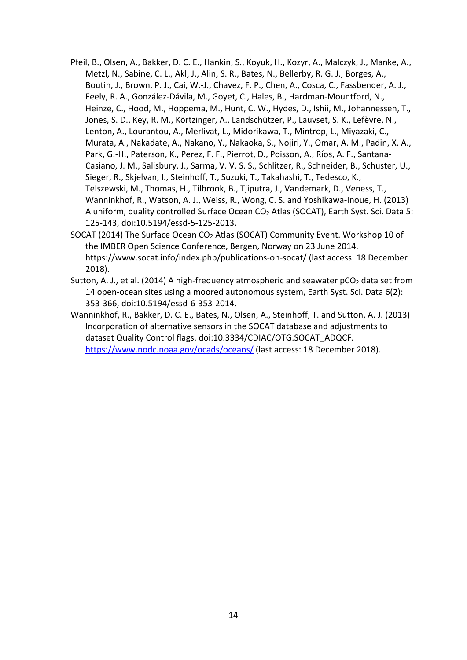- Pfeil, B., Olsen, A., Bakker, D. C. E., Hankin, S., Koyuk, H., Kozyr, A., Malczyk, J., Manke, A., Metzl, N., Sabine, C. L., Akl, J., Alin, S. R., Bates, N., Bellerby, R. G. J., Borges, A., Boutin, J., Brown, P. J., Cai, W.-J., Chavez, F. P., Chen, A., Cosca, C., Fassbender, A. J., Feely, R. A., González-Dávila, M., Goyet, C., Hales, B., Hardman-Mountford, N., Heinze, C., Hood, M., Hoppema, M., Hunt, C. W., Hydes, D., Ishii, M., Johannessen, T., Jones, S. D., Key, R. M., Körtzinger, A., Landschützer, P., Lauvset, S. K., Lefèvre, N., Lenton, A., Lourantou, A., Merlivat, L., Midorikawa, T., Mintrop, L., Miyazaki, C., Murata, A., Nakadate, A., Nakano, Y., Nakaoka, S., Nojiri, Y., Omar, A. M., Padin, X. A., Park, G.-H., Paterson, K., Perez, F. F., Pierrot, D., Poisson, A., Ríos, A. F., Santana-Casiano, J. M., Salisbury, J., Sarma, V. V. S. S., Schlitzer, R., Schneider, B., Schuster, U., Sieger, R., Skjelvan, I., Steinhoff, T., Suzuki, T., Takahashi, T., Tedesco, K., Telszewski, M., Thomas, H., Tilbrook, B., Tjiputra, J., Vandemark, D., Veness, T., Wanninkhof, R., Watson, A. J., Weiss, R., Wong, C. S. and Yoshikawa-Inoue, H. (2013) A uniform, quality controlled Surface Ocean CO<sub>2</sub> Atlas (SOCAT), Earth Syst. Sci. Data 5: 125-143, doi:10.5194/essd-5-125-2013.
- SOCAT (2014) The Surface Ocean CO2 Atlas (SOCAT) Community Event. Workshop 10 of the IMBER Open Science Conference, Bergen, Norway on 23 June 2014. https://www.socat.info/index.php/publications-on-socat/ (last access: 18 December 2018).
- Sutton, A. J., et al. (2014) A high-frequency atmospheric and seawater  $pCO<sub>2</sub>$  data set from 14 open-ocean sites using a moored autonomous system, Earth Syst. Sci. Data 6(2): 353-366, doi:10.5194/essd-6-353-2014.

Wanninkhof, R., Bakker, D. C. E., Bates, N., Olsen, A., Steinhoff, T. and Sutton, A. J. (2013) Incorporation of alternative sensors in the SOCAT database and adjustments to dataset Quality Control flags. doi:10.3334/CDIAC/OTG.SOCAT\_ADQCF. <https://www.nodc.noaa.gov/ocads/oceans/> (last access: 18 December 2018).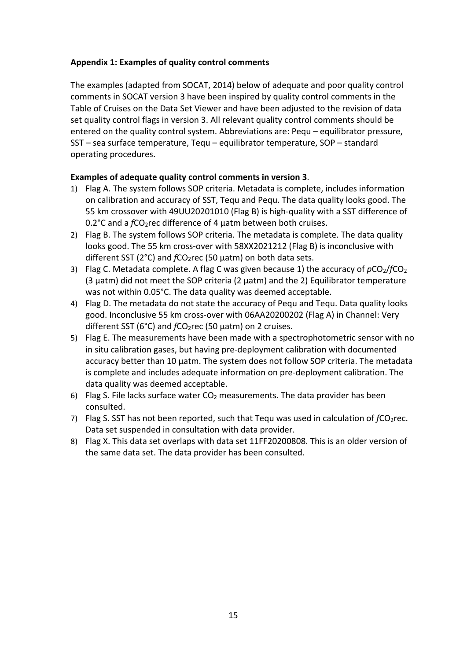### **Appendix 1: Examples of quality control comments**

The examples (adapted from SOCAT, 2014) below of adequate and poor quality control comments in SOCAT version 3 have been inspired by quality control comments in the Table of Cruises on the Data Set Viewer and have been adjusted to the revision of data set quality control flags in version 3. All relevant quality control comments should be entered on the quality control system. Abbreviations are: Pequ – equilibrator pressure, SST – sea surface temperature, Tequ – equilibrator temperature, SOP – standard operating procedures.

### **Examples of adequate quality control comments in version 3**.

- 1) Flag A. The system follows SOP criteria. Metadata is complete, includes information on calibration and accuracy of SST, Tequ and Pequ. The data quality looks good. The 55 km crossover with 49UU20201010 (Flag B) is high-quality with a SST difference of 0.2°C and a *f*CO2rec difference of 4 μatm between both cruises.
- 2) Flag B. The system follows SOP criteria. The metadata is complete. The data quality looks good. The 55 km cross-over with 58XX2021212 (Flag B) is inconclusive with different SST (2°C) and *fCO*<sub>2</sub>rec (50 µatm) on both data sets.
- 3) Flag C. Metadata complete. A flag C was given because 1) the accuracy of  $pCO<sub>2</sub>/fCO<sub>2</sub>$ (3 µatm) did not meet the SOP criteria (2 µatm) and the 2) Equilibrator temperature was not within 0.05°C. The data quality was deemed acceptable.
- 4) Flag D. The metadata do not state the accuracy of Pequ and Tequ. Data quality looks good. Inconclusive 55 km cross-over with 06AA20200202 (Flag A) in Channel: Very different SST (6°C) and *fCO*<sub>2</sub>rec (50 µatm) on 2 cruises.
- 5) Flag E. The measurements have been made with a spectrophotometric sensor with no in situ calibration gases, but having pre-deployment calibration with documented accuracy better than 10 µatm. The system does not follow SOP criteria. The metadata is complete and includes adequate information on pre-deployment calibration. The data quality was deemed acceptable.
- 6) Flag S. File lacks surface water  $CO<sub>2</sub>$  measurements. The data provider has been consulted.
- 7) Flag S. SST has not been reported, such that Tequ was used in calculation of *fCO*<sub>2</sub>rec. Data set suspended in consultation with data provider.
- 8) Flag X. This data set overlaps with data set 11FF20200808. This is an older version of the same data set. The data provider has been consulted.